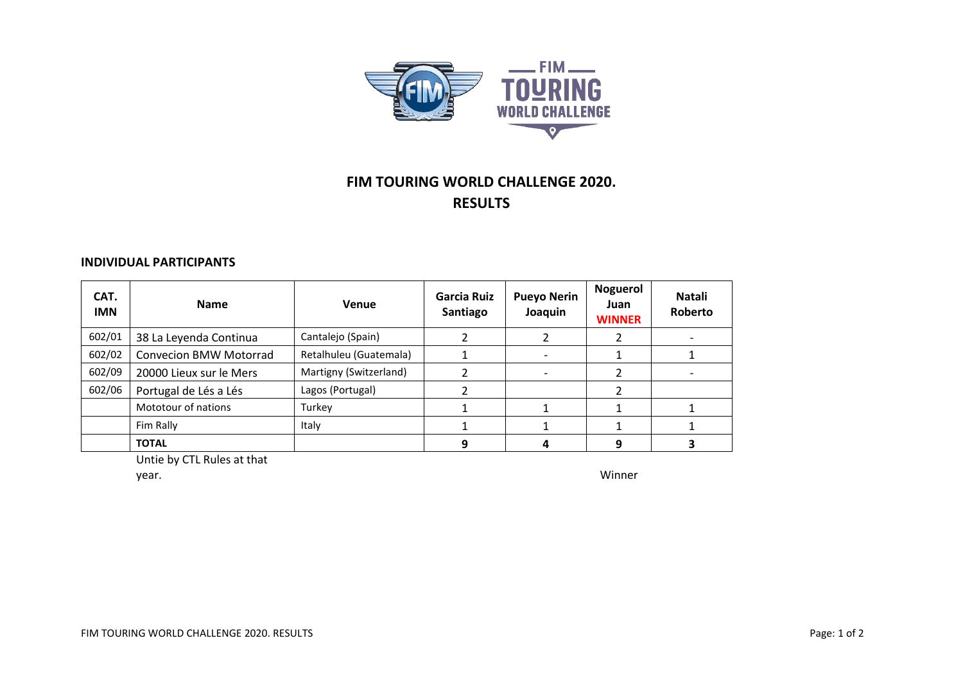

## **FIM TOURING WORLD CHALLENGE 2020. RESULTS**

## **INDIVIDUAL PARTICIPANTS**

| CAT.<br><b>IMN</b> | <b>Name</b>                   | Venue                  | Garcia Ruiz<br>Santiago | <b>Pueyo Nerin</b><br>Joaquin |   | Natali<br>Roberto |
|--------------------|-------------------------------|------------------------|-------------------------|-------------------------------|---|-------------------|
| 602/01             | 38 La Leyenda Continua        | Cantalejo (Spain)      |                         |                               |   |                   |
| 602/02             | <b>Convecion BMW Motorrad</b> | Retalhuleu (Guatemala) |                         |                               |   |                   |
| 602/09             | 20000 Lieux sur le Mers       | Martigny (Switzerland) |                         |                               |   |                   |
| 602/06             | Portugal de Lés a Lés         | Lagos (Portugal)       |                         |                               |   |                   |
|                    | Mototour of nations           | Turkey                 |                         |                               |   |                   |
|                    | Fim Rally                     | Italy                  |                         |                               |   |                   |
|                    | <b>TOTAL</b>                  |                        |                         |                               | 9 |                   |

Untie by CTL Rules at that

year. Winner